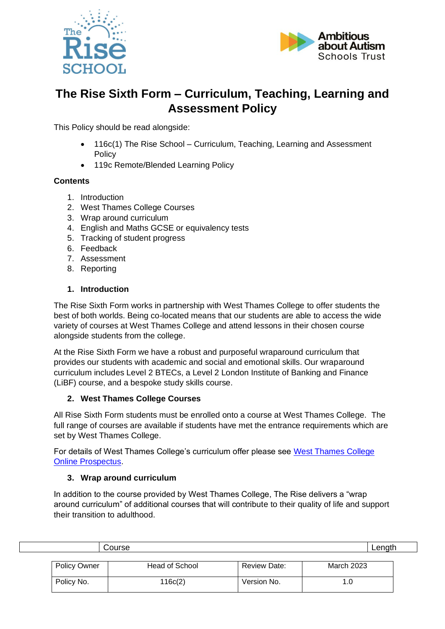



# **The Rise Sixth Form – Curriculum, Teaching, Learning and Assessment Policy**

This Policy should be read alongside:

- 116c(1) The Rise School Curriculum, Teaching, Learning and Assessment **Policy**
- 119c Remote/Blended Learning Policy

# **Contents**

- 1. Introduction
- 2. West Thames College Courses
- 3. Wrap around curriculum
- 4. English and Maths GCSE or equivalency tests
- 5. Tracking of student progress
- 6. Feedback
- 7. Assessment
- 8. Reporting

## **1. Introduction**

The Rise Sixth Form works in partnership with West Thames College to offer students the best of both worlds. Being co-located means that our students are able to access the wide variety of courses at West Thames College and attend lessons in their chosen course alongside students from the college.

At the Rise Sixth Form we have a robust and purposeful wraparound curriculum that provides our students with academic and social and emotional skills. Our wraparound curriculum includes Level 2 BTECs, a Level 2 London Institute of Banking and Finance (LiBF) course, and a bespoke study skills course.

## **2. West Thames College Courses**

All Rise Sixth Form students must be enrolled onto a course at West Thames College. The full range of courses are available if students have met the entrance requirements which are set by West Thames College.

For details of West Thames College's curriculum offer please see [West Thames College](file://///aaa.local/ud$/staff/Helen.Ralston/Downloads/West%20Thames%20College%20Online%20Prospectus)  [Online Prospectus.](file://///aaa.local/ud$/staff/Helen.Ralston/Downloads/West%20Thames%20College%20Online%20Prospectus)

# **3. Wrap around curriculum**

In addition to the course provided by West Thames College, The Rise delivers a "wrap around curriculum" of additional courses that will contribute to their quality of life and support their transition to adulthood.

| Course |                     |                |              | Length     |  |
|--------|---------------------|----------------|--------------|------------|--|
|        |                     |                |              |            |  |
|        | <b>Policy Owner</b> | Head of School | Review Date: | March 2023 |  |
|        |                     |                |              |            |  |
|        | Policy No.          | 116c(2)        | Version No.  |            |  |
|        |                     |                |              |            |  |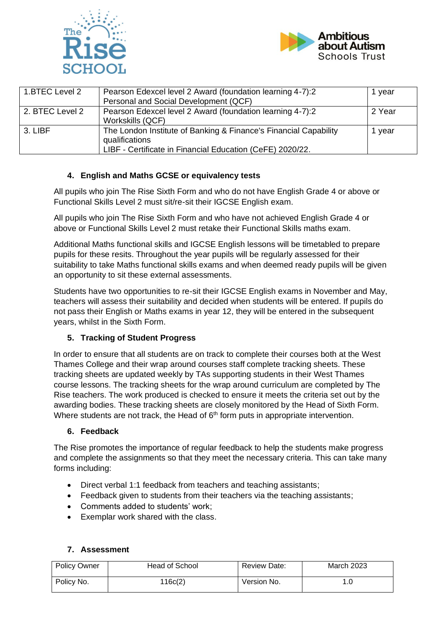



| 1.BTEC Level 2  | Pearson Edexcel level 2 Award (foundation learning 4-7):2<br>Personal and Social Development (QCF)                                              | l vear |
|-----------------|-------------------------------------------------------------------------------------------------------------------------------------------------|--------|
| 2. BTEC Level 2 | Pearson Edexcel level 2 Award (foundation learning 4-7):2<br>Workskills (QCF)                                                                   | 2 Year |
| 3. LIBF         | The London Institute of Banking & Finance's Financial Capability<br>qualifications<br>LIBF - Certificate in Financial Education (CeFE) 2020/22. | vear   |

## **4. English and Maths GCSE or equivalency tests**

All pupils who join The Rise Sixth Form and who do not have English Grade 4 or above or Functional Skills Level 2 must sit/re-sit their IGCSE English exam.

All pupils who join The Rise Sixth Form and who have not achieved English Grade 4 or above or Functional Skills Level 2 must retake their Functional Skills maths exam.

Additional Maths functional skills and IGCSE English lessons will be timetabled to prepare pupils for these resits. Throughout the year pupils will be regularly assessed for their suitability to take Maths functional skills exams and when deemed ready pupils will be given an opportunity to sit these external assessments.

Students have two opportunities to re-sit their IGCSE English exams in November and May, teachers will assess their suitability and decided when students will be entered. If pupils do not pass their English or Maths exams in year 12, they will be entered in the subsequent years, whilst in the Sixth Form.

## **5. Tracking of Student Progress**

In order to ensure that all students are on track to complete their courses both at the West Thames College and their wrap around courses staff complete tracking sheets. These tracking sheets are updated weekly by TAs supporting students in their West Thames course lessons. The tracking sheets for the wrap around curriculum are completed by The Rise teachers. The work produced is checked to ensure it meets the criteria set out by the awarding bodies. These tracking sheets are closely monitored by the Head of Sixth Form. Where students are not track, the Head of  $6<sup>th</sup>$  form puts in appropriate intervention.

## **6. Feedback**

The Rise promotes the importance of regular feedback to help the students make progress and complete the assignments so that they meet the necessary criteria. This can take many forms including:

- Direct verbal 1:1 feedback from teachers and teaching assistants;
- Feedback given to students from their teachers via the teaching assistants;
- Comments added to students' work;
- Exemplar work shared with the class.

## **7. Assessment**

| <b>Policy Owner</b> | Head of School | <b>Review Date:</b> | <b>March 2023</b> |
|---------------------|----------------|---------------------|-------------------|
| Policy No.          | 116c(2)        | Version No.         |                   |